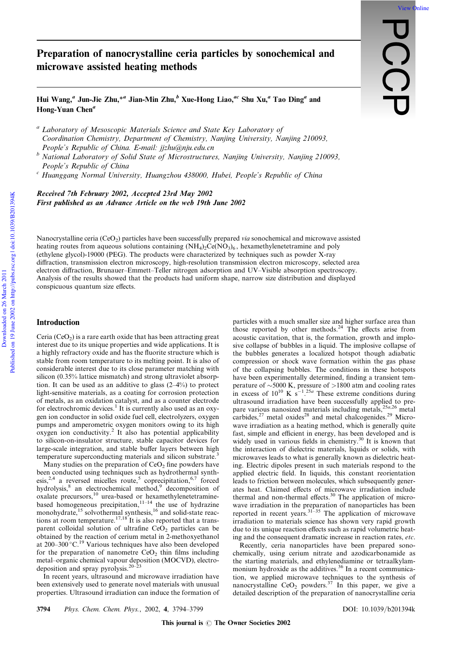# Preparation of nanocrystalline ceria particles by sonochemical and microwave assisted heating methods

**PCC** 

[View Online](http://dx.doi.org/10.1039/b201394k)

Hui Wang,<sup>a</sup> Jun-Jie Zhu,\*<sup>a</sup> Jian-Min Zhu, $^b$  Xue-Hong Liao,<sup>ac</sup> Shu Xu,<sup>a</sup> Tao Ding<sup>a</sup> and Hong-Yuan Chen<sup> $a$ </sup>

<sup>a</sup> Laboratory of Mesoscopic Materials Science and State Key Laboratory of Coordination Chemistry, Department of Chemistry, Nanjing University, Nanjing 210093, People's Republic of China. E-mail: jjzhu@nju.edu.cn

 $\overline{b}$  National Laboratory of Solid State of Microstructures, Nanjing University, Nanjing 210093, People's Republic of China

 $c$  Huanggang Normal University, Huangzhou 438000, Hubei, People's Republic of China

Received 7th February 2002, Accepted 23rd May 2002 First published as an Advance Article on the web 19th June 2002

Nanocrystalline ceria (CeO<sub>2</sub>) particles have been successfully prepared via sonochemical and microwave assisted heating routes from aqueous solutions containing  $(NH_4)_2$ Ce( $NO_3$ )<sub>6</sub>, hexamethylenetetramine and poly (ethylene glycol)-19000 (PEG). The products were characterized by techniques such as powder X-ray diffraction, transmission electron microscopy, high-resolution transmission electron microscopy, selected area electron diffraction, Brunauer–Emmett–Teller nitrogen adsorption and UV–Visible absorption spectroscopy. Analysis of the results showed that the products had uniform shape, narrow size distribution and displayed conspicuous quantum size effects.

## Introduction

Ceria  $(CeO<sub>2</sub>)$  is a rare earth oxide that has been attracting great interest due to its unique properties and wide applications. It is a highly refractory oxide and has the fluorite structure which is stable from room temperature to its melting point. It is also of considerable interest due to its close parameter matching with silicon (0.35% lattice mismatch) and strong ultraviolet absorption. It can be used as an additive to glass (2–4%) to protect light-sensitive materials, as a coating for corrosion protection of metals, as an oxidation catalyst, and as a counter electrode for electrochromic devices.<sup>1</sup> It is currently also used as an oxygen ion conductor in solid oxide fuel cell, electrolyzers, oxygen pumps and amperometric oxygen monitors owing to its high oxygen ion conductivity.<sup>2</sup> It also has potential applicability to silicon-on-insulator structure, stable capacitor devices for large-scale integration, and stable buffer layers between high temperature superconducting materials and silicon substrate.<sup>3</sup>

Many studies on the preparation of  $CeO<sub>2</sub>$  fine powders have been conducted using techniques such as hydrothermal synthesis,<sup>2,4</sup> a reversed micelles route,<sup>5</sup> coprecipitation,<sup>6,7</sup> forced hydrolysis,<sup>8</sup> an electrochemical method,<sup>9</sup> decomposition of oxalate precursors,<sup>10</sup> urea-based or hexamethylenetetraminebased homogeneous precipitation,  $11-14$  the use of hydrazine monohydrate,<sup>15</sup> solvothermal synthesis,<sup>16</sup> and solid-state reactions at room temperature.<sup>17,18</sup> It is also reported that a transparent colloidal solution of ultrafine  $CeO<sub>2</sub>$  particles can be obtained by the reaction of cerium metal in 2-methoxyethanol at  $200-300^{\circ}$ C.<sup>19</sup> Various techniques have also been developed for the preparation of nanometre  $CeO<sub>2</sub>$  thin films including metal–organic chemical vapour deposition (MOCVD), electrodeposition and spray pyrolysis.<sup>20–23</sup>

In recent years, ultrasound and microwave irradiation have been extensively used to generate novel materials with unusual properties. Ultrasound irradiation can induce the formation of

particles with a much smaller size and higher surface area than those reported by other methods.<sup>24</sup> The effects arise from acoustic cavitation, that is, the formation, growth and implosive collapse of bubbles in a liquid. The implosive collapse of the bubbles generates a localized hotspot though adiabatic compression or shock wave formation within the gas phase of the collapsing bubbles. The conditions in these hotspots have been experimentally determined, finding a transient temperature of  $\sim$ 5000 K, pressure of  $>$ 1800 atm and cooling rates<br>in excess of 10<sup>10</sup> K s<sup>-1</sup>.<sup>25a</sup> These extreme conditions during ultrasound irradiation have been successfully applied to prepare various nanosized materials including metals, $^{25a,26}$  metal carbides, $27$  metal oxides $28$  and metal chalcogenides. $29$  Microwave irradiation as a heating method, which is generally quite fast, simple and efficient in energy, has been developed and is widely used in various fields in chemistry.<sup>30</sup> It is known that the interaction of dielectric materials, liquids or solids, with microwaves leads to what is generally known as dielectric heating. Electric dipoles present in such materials respond to the applied electric field. In liquids, this constant reorientation leads to friction between molecules, which subsequently generates heat. Claimed effects of microwave irradiation include thermal and non-thermal effects. $30$  The application of microwave irradiation in the preparation of nanoparticles has been reported in recent years.<sup>31-35</sup> The application of microwave irradiation to materials science has shown very rapid growth due to its unique reaction effects such as rapid volumetric heating and the consequent dramatic increase in reaction rates, etc.

Recently, ceria nanoparticles have been prepared sonochemically, using cerium nitrate and azodicarbonamide as the starting materials, and ethylenediamine or tetraalkylammonium hydroxide as the additives.<sup>36</sup> In a recent communication, we applied microwave techniques to the synthesis of nanocrystalline  $CeO<sub>2</sub>$  powders.<sup>37</sup> In this paper, we give a detailed description of the preparation of nanocrystalline ceria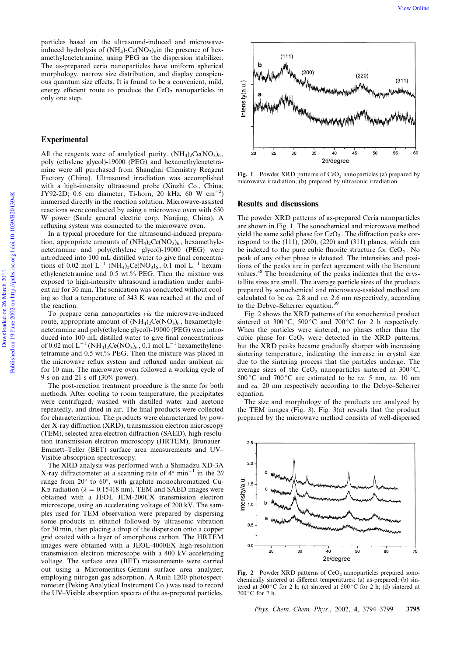particles based on the ultrasound-induced and microwaveinduced hydrolysis of  $(NH_4)_2Ce(NO_3)_6$ in the presence of hexamethylenetetramine, using PEG as the dispersion stabilizer. The as-prepared ceria nanoparticles have uniform spherical morphology, narrow size distribution, and display conspicuous quantum size effects. It is found to be a convenient, mild, energy efficient route to produce the  $CeO<sub>2</sub>$  nanoparticles in only one step.

### Experimental

All the reagents were of analytical purity.  $(NH_4)_2Ce(NO_3)_6$ , poly (ethylene glycol)-19000 (PEG) and hexamethylenetetramine were all purchased from Shanghai Chemistry Reagent Factory (China). Ultrasound irradiation was accomplished with a high-intensity ultrasound probe (Xinzhi Co., China; JY92-2D; 0.6 cm diameter; Ti-horn, 20 kHz, 60 W cm<sup>-2</sup>) immersed directly in the reaction solution. Microwave-assisted reactions were conducted by using a microwave oven with 650 W power (Sanle general electric corp. Nanjing, China). A refluxing system was connected to the microwave oven.

In a typical procedure for the ultrasound-induced preparation, appropriate amounts of  $(NH_4)_2Ce(NO_3)_6$ , hexamethylenetetramine and poly(ethylene glycol)-19000 (PEG) were introduced into 100 mL distilled water to give final concentrations of 0.02 mol  $L^{-1}$  (NH<sub>4</sub>)<sub>2</sub>Ce(NO<sub>3</sub>)<sub>6</sub>, 0.1 mol  $L^{-1}$  hexamethylenetetramine and 0.5 wt.% PEG. Then the mixture was exposed to high-intensity ultrasound irradiation under ambient air for 30 min. The sonication was conducted without cooling so that a temperature of 343 K was reached at the end of the reaction.

To prepare ceria nanoparticles via the microwave-induced route, appropriate amount of  $(NH_4)_2Ce(NO_3)_6$ , hexamethylenetetramine and poly(ethylene glycol)-19000 (PEG) were introduced into 100 mL distilled water to give final concentrations of 0.02 mol  $L^{-1}$  (NH<sub>4</sub>)<sub>2</sub>Ce(NO<sub>3</sub>)<sub>6</sub>, 0.1 mol  $L^{-1}$  hexamethylenetetramine and 0.5 wt.% PEG. Then the mixture was placed in the microwave reflux system and refluxed under ambient air for 10 min. The microwave oven followed a working cycle of 9 s on and 21 s off (30% power).

The post-reaction treatment procedure is the same for both methods. After cooling to room temperature, the precipitates were centrifuged, washed with distilled water and acetone repeatedly, and dried in air. The final products were collected for characterization. The products were characterized by powder X-ray diffraction (XRD), transmission electron microscopy (TEM), selected area electron diffraction (SAED), high-resolution transmission electron microscopy (HRTEM), Brunauer– Emmett–Teller (BET) surface area measurements and UV– Visible absorption spectroscopy.

The XRD analysis was performed with a Shimadzu XD-3A X-ray diffractometer at a scanning rate of  $4^{\circ}$  min<sup>-1</sup> in the  $2\theta$ range from  $20^{\circ}$  to  $60^{\circ}$ , with graphite monochromatized Cu-K $\alpha$  radiation ( $\lambda = 0.15418$  nm). TEM and SAED images were obtained with a JEOL JEM-200CX transmission electron microscope, using an accelerating voltage of 200 kV. The samples used for TEM observation were prepared by dispersing some products in ethanol followed by ultrasonic vibration for 30 min, then placing a drop of the dispersion onto a copper grid coated with a layer of amorphous carbon. The HRTEM images were obtained with a JEOL-4000EX high-resolution transmission electron microscope with a 400 kV accelerating voltage. The surface area (BET) measurements were carried out using a Micromeritics-Gemini surface area analyzer, employing nitrogen gas adsorption. A Ruili 1200 photospectrometer (Peking Analytical Instrument Co.) was used to record the UV–Visible absorption spectra of the as-prepared particles.



Fig. 1 Powder XRD patterns of  $CeO<sub>2</sub>$  nanoparticles (a) prepared by microwave irradiation; (b) prepared by ultrasonic irradiation.

## Results and discussions

The powder XRD patterns of as-prepared Ceria nanoparticles are shown in Fig. 1. The sonochemical and microwave method yield the same solid phase for  $CeO<sub>2</sub>$ . The diffraction peaks correspond to the (111), (200), (220) and (311) planes, which can be indexed to the pure cubic fluorite structure for  $CeO<sub>2</sub>$ . No peak of any other phase is detected. The intensities and positions of the peaks are in perfect agreement with the literature values.<sup>38</sup> The broadening of the peaks indicates that the crystallite sizes are small. The average particle sizes of the products prepared by sonochemical and microwave-assisted method are calculated to be *ca*. 2.8 and *ca*. 2.6 nm respectively, according to the Debye–Scherrer equation.

Fig. 2 shows the XRD patterns of the sonochemical product sintered at 300 °C, 500 °C and 700 °C for 2 h respectively. When the particles were sintered, no phases other than the cubic phase for  $CeO<sub>2</sub>$  were detected in the XRD patterns, but the XRD peaks became gradually sharper with increasing sintering temperature, indicating the increase in crystal size due to the sintering process that the particles undergo. The average sizes of the CeO<sub>2</sub> nanoparticles sintered at  $300^{\circ}$ C,  $500^{\circ}$ C and  $700^{\circ}$ C are estimated to be *ca*. 5 nm, *ca*. 10 nm and ca. 20 nm respectively according to the Debye–Scherrer equation.

The size and morphology of the products are analyzed by the TEM images (Fig. 3). Fig. 3(a) reveals that the product prepared by the microwave method consists of well-dispersed



Fig. 2 Powder XRD patterns of  $CeO<sub>2</sub>$  nanoparticles prepared sonochemically sintered at different temperatures: (a) as-prepared; (b) sintered at 300 °C for 2 h; (c) sintered at 500 °C for 2 h; (d) sintered at  $700\degree$ C for 2 h.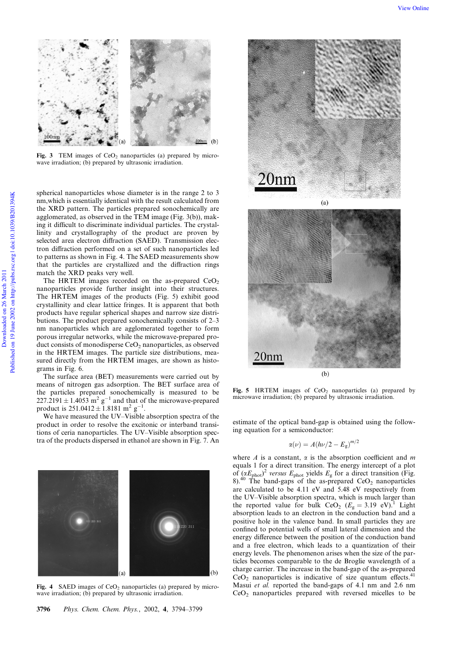

Fig. 3 TEM images of CeO<sub>2</sub> nanoparticles (a) prepared by microwave irradiation; (b) prepared by ultrasonic irradiation.

spherical nanoparticles whose diameter is in the range 2 to 3 nm,which is essentially identical with the result calculated from the XRD pattern. The particles prepared sonochemically are agglomerated, as observed in the TEM image (Fig. 3(b)), making it difficult to discriminate individual particles. The crystallinity and crystallography of the product are proven by selected area electron diffraction (SAED). Transmission electron diffraction performed on a set of such nanoparticles led to patterns as shown in Fig. 4. The SAED measurements show that the particles are crystallized and the diffraction rings match the XRD peaks very well.

The HRTEM images recorded on the as-prepared  $CeO<sub>2</sub>$ nanoparticles provide further insight into their structures. The HRTEM images of the products (Fig. 5) exhibit good crystallinity and clear lattice fringes. It is apparent that both products have regular spherical shapes and narrow size distributions. The product prepared sonochemically consists of 2–3 nm nanoparticles which are agglomerated together to form porous irregular networks, while the microwave-prepared product consists of monodisperse  $CeO<sub>2</sub>$  nanoparticles, as observed in the HRTEM images. The particle size distributions, measured directly from the HRTEM images, are shown as histograms in Fig. 6.

The surface area (BET) measurements were carried out by means of nitrogen gas adsorption. The BET surface area of the particles prepared sonochemically is measured to be  $227.2191 \pm 1.4053$  m<sup>2</sup> g<sup>-1</sup> and that of the microwave-prepared product is  $251.0412 \pm 1.8181 \text{ m}^2 \text{ g}^{-1}$ .

We have measured the UV–Visible absorption spectra of the product in order to resolve the excitonic or interband transitions of ceria nanoparticles. The UV–Visible absorption spectra of the products dispersed in ethanol are shown in Fig. 7. An



Fig. 4 SAED images of  $CeO<sub>2</sub>$  nanoparticles (a) prepared by microwave irradiation; (b) prepared by ultrasonic irradiation.



Fig. 5 HRTEM images of  $CeO<sub>2</sub>$  nanoparticles (a) prepared by microwave irradiation; (b) prepared by ultrasonic irradiation.

estimate of the optical band-gap is obtained using the following equation for a semiconductor:

$$
\alpha(\nu)=A(h\nu/2-E_{\rm g})^{m/2}
$$

where  $A$  is a constant,  $\alpha$  is the absorption coefficient and  $m$ equals 1 for a direct transition. The energy intercept of a plot of  $(\alpha E_{\text{phot}})^2$  versus  $E_{\text{phot}}$  yields  $E_{\text{g}}$  for a direct transition (Fig. 8).<sup>40</sup> The band-gaps of the as-prepared  $CeO<sub>2</sub>$  nanoparticles are calculated to be 4.11 eV and 5.48 eV respectively from the UV–Visible absorption spectra, which is much larger than the reported value for bulk  $CeO<sub>2</sub>$  ( $E<sub>g</sub> = 3.19$  eV).<sup>1</sup> Light absorption leads to an electron in the conduction band and a positive hole in the valence band. In small particles they are confined to potential wells of small lateral dimension and the energy difference between the position of the conduction band and a free electron, which leads to a quantization of their energy levels. The phenomenon arises when the size of the particles becomes comparable to the de Broglie wavelength of a charge carrier. The increase in the band-gap of the as-prepared  $CeO<sub>2</sub>$  nanoparticles is indicative of size quantum effects.<sup>41</sup> Masui et al. reported the band-gaps of 4.1 nm and 2.6 nm CeO2 nanoparticles prepared with reversed micelles to be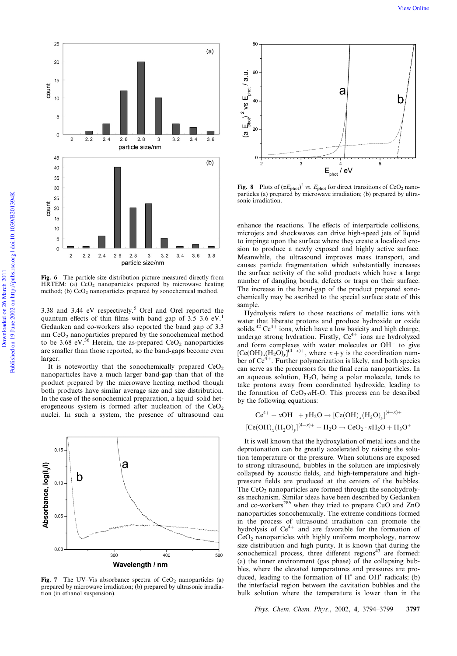



Fig. 6 The particle size distribution picture measured directly from HRTEM: (a)  $CeO<sub>2</sub>$  nanoparticles prepared by microwave heating method; (b) CeO<sub>2</sub> nanoparticles prepared by sonochemical method.

3.38 and 3.44 eV respectively.<sup>5</sup> Orel and Orel reported the quantum effects of thin films with band gap of  $3.5-3.6$  eV.<sup>1</sup> Gedanken and co-workers also reported the band gap of 3.3 nm CeO<sub>2</sub> nanoparticles prepared by the sonochemical method to be  $3.68$  eV.<sup>36</sup> Herein, the as-prepared CeO<sub>2</sub> nanoparticles are smaller than those reported, so the band-gaps become even larger.

It is noteworthy that the sonochemically prepared  $CeO<sub>2</sub>$ nanoparticles have a much larger band-gap than that of the product prepared by the microwave heating method though both products have similar average size and size distribution. In the case of the sonochemical preparation, a liquid–solid heterogeneous system is formed after nucleation of the  $CeO<sub>2</sub>$ nuclei. In such a system, the presence of ultrasound can



Fig. 7 The UV–Vis absorbance spectra of  $CeO<sub>2</sub>$  nanoparticles (a) prepared by microwave irradiation; (b) prepared by ultrasonic irradiation (in ethanol suspension).



Fig. 8 Plots of  $(\alpha E_{phot})^2$  vs.  $E_{phot}$  for direct transitions of CeO<sub>2</sub> nanoparticles (a) prepared by microwave irradiation; (b) prepared by ultrasonic irradiation.

enhance the reactions. The effects of interparticle collisions, microjets and shockwaves can drive high-speed jets of liquid to impinge upon the surface where they create a localized erosion to produce a newly exposed and highly active surface. Meanwhile, the ultrasound improves mass transport, and causes particle fragmentation which substantially increases the surface activity of the solid products which have a large number of dangling bonds, defects or traps on their surface. The increase in the band-gap of the product prepared sonochemically may be ascribed to the special surface state of this sample.

Hydrolysis refers to those reactions of metallic ions with water that liberate protons and produce hydroxide or oxide solids.<sup>42</sup> Ce<sup>4+</sup> ions, which have a low basicity and high charge, undergo strong hydration. Firstly,  $Ce^{4+}$  ions are hydrolyzed and form complexes with water molecules or  $OH^-$  to give  $[Ce(OH)_x(H_2O)_y]^{(4-x)+}$ , where  $x + y$  is the coordination number of  $Ce<sup>4+</sup>$ . Further polymerization is likely, and both species can serve as the precursors for the final ceria nanoparticles. In an aqueous solution,  $H_2O$ , being a polar molecule, tends to take protons away from coordinated hydroxide, leading to the formation of  $CeO<sub>2</sub> nH<sub>2</sub>O$ . This process can be described by the following equations:

$$
Ce^{4+} + xOH^{-} + yH_2O \rightarrow [Ce(OH)_x(H_2O)_y]^{(4-x)+}
$$
  
[Ce(OH)\_x(H\_2O)\_y]^{(4-x)+} + H\_2O \rightarrow CeO\_2 \cdot nH\_2O + H\_3O^{+}

It is well known that the hydroxylation of metal ions and the deprotonation can be greatly accelerated by raising the solution temperature or the pressure. When solutions are exposed to strong ultrasound, bubbles in the solution are implosively collapsed by acoustic fields, and high-temperature and highpressure fields are produced at the centers of the bubbles. The  $CeO<sub>2</sub>$  nanoparticles are formed through the sonohydrolysis mechanism. Similar ideas have been described by Gedanken and co-workers<sup>28b</sup> when they tried to prepare CuO and ZnO nanoparticles sonochemically. The extreme conditions formed in the process of ultrasound irradiation can promote the hydrolysis of  $Ce^{4+}$  and are favorable for the formation of CeO2 nanoparticles with highly uniform morphology, narrow size distribution and high purity. It is known that during the sonochemical process, three different regions<sup>43</sup> are formed: (a) the inner environment (gas phase) of the collapsing bubbles, where the elevated temperatures and pressures are produced, leading to the formation of  $H^*$  and  $OH^*$  radicals; (b) the interfacial region between the cavitation bubbles and the bulk solution where the temperature is lower than in the

Phys. Chem. Chem. Phys., 2002, 4, 3794-3799 3797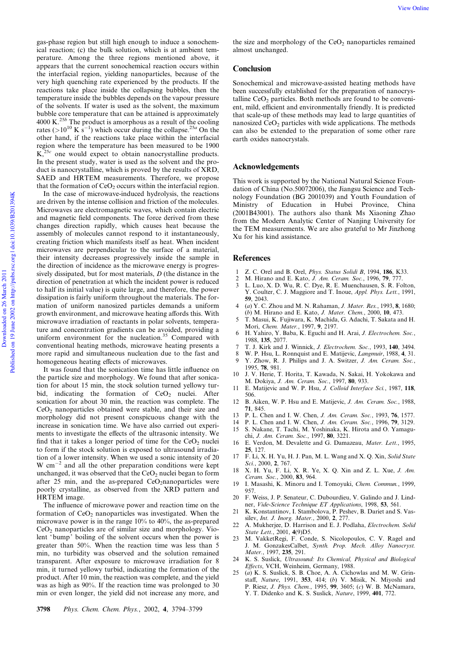gas-phase region but still high enough to induce a sonochemical reaction; (c) the bulk solution, which is at ambient temperature. Among the three regions mentioned above, it appears that the current sonochemical reaction occurs within the interfacial region, yielding nanoparticles, because of the very high quenching rate experienced by the products. If the reactions take place inside the collapsing bubbles, then the temperature inside the bubbles depends on the vapour pressure of the solvents. If water is used as the solvent, the maximum bubble core temperature that can be attained is approximately 4000 K.<sup>25b</sup> The product is amorphous as a result of the cooling rates (>10<sup>10</sup> K s<sup>-1</sup>) which occur during the collapse.<sup>25a</sup> On the other hand, if the reactions take place within the interfacial region where the temperature has been measured to be 1900  $K_{\tau}^{25c}$  one would expect to obtain nanocrystalline products. In the present study, water is used as the solvent and the product is nanocrystalline, which is proved by the results of XRD, SAED and HRTEM measurements. Therefore, we propose that the formation of  $CeO<sub>2</sub>$  occurs within the interfacial region.

In the case of microwave-induced hydrolysis, the reactions are driven by the intense collision and friction of the molecules. Microwaves are electromagnetic waves, which contain electric and magnetic field components. The force derived from these changes direction rapidly, which causes heat because the assembly of molecules cannot respond to it instantaneously, creating friction which manifests itself as heat. When incident microwaves are perpendicular to the surface of a material, their intensity decreases progressively inside the sample in the direction of incidence as the microwave energy is progressively dissipated, but for most materials,  $D$  (the distance in the direction of penetration at which the incident power is reduced to half its initial value) is quite large, and therefore, the power dissipation is fairly uniform throughout the materials. The formation of uniform nanosized particles demands a uniform growth environment, and microwave heating affords this. With microwave irradiation of reactants in polar solvents, temperature and concentration gradients can be avoided, providing a uniform environment for the nucleation.<sup>35</sup> Compared with conventional heating methods, microwave heating presents a more rapid and simultaneous nucleation due to the fast and homogeneous heating effects of microwaves.

It was found that the sonication time has little influence on the particle size and morphology. We found that after sonication for about 15 min, the stock solution turned yellowy turbid, indicating the formation of  $CeO<sub>2</sub>$  nuclei. After sonication for about 30 min, the reaction was complete. The  $CeO<sub>2</sub>$  nanoparticles obtained were stable, and their size and morphology did not present conspicuous change with the increase in sonication time. We have also carried out experiments to investigate the effects of the ultrasonic intensity. We find that it takes a longer period of time for the  $CeO<sub>2</sub>$  nuclei to form if the stock solution is exposed to ultrasound irradiation of a lower intensity. When we used a sonic intensity of 20 W  $cm^{-2}$  and all the other preparation conditions were kept unchanged, it was observed that the  $CeO<sub>2</sub>$  nuclei began to form after 25 min, and the as-prepared  $CeO<sub>2</sub>$ nanoparticles were poorly crystalline, as observed from the XRD pattern and HRTEM image.

The influence of microwave power and reaction time on the formation of  $CeO<sub>2</sub>$  nanoparticles was investigated. When the microwave power is in the range 10% to 40%, the as-prepared  $CeO<sub>2</sub>$  nanoparticles are of similar size and morphology. Violent 'bump' boiling of the solvent occurs when the power is greater than 50%. When the reaction time was less than 5 min, no turbidity was observed and the solution remained transparent. After exposure to microwave irradiation for 8 min, it turned yellowy turbid, indicating the formation of the product. After 10 min, the reaction was complete, and the yield was as high as 90%. If the reaction time was prolonged to 30 min or even longer, the yield did not increase any more, and the size and morphology of the  $CeO<sub>2</sub>$  nanoparticles remained almost unchanged.

#### **Conclusion**

Sonochemical and microwave-assisted heating methods have been successfully established for the preparation of nanocrystalline  $CeO<sub>2</sub>$  particles. Both methods are found to be convenient, mild, efficient and environmentally friendly. It is predicted that scale-up of these methods may lead to large quantities of nanosized  $CeO<sub>2</sub>$  particles with wide applications. The methods can also be extended to the preparation of some other rare earth oxides nanocrystals.

## Acknowledgements

This work is supported by the National Natural Science Foundation of China (No.50072006), the Jiangsu Science and Technology Foundation (BG 2001039) and Youth Foundation of Ministry of Education in Hubei Province, China (2001B43001). The authors also thank Ms Xiaoning Zhao from the Modern Analytic Center of Nanjing University for the TEM measurements. We are also grateful to Mr Jinzhong Xu for his kind assistance.

## **References**

- 1 Z. C. Orel and B. Orel, Phys. Status Solidi B, 1994, 186, K33.
- 2 M. Hirano and E. Kato, *J. Am. Ceram. Soc.*, 1996, **79**, 777.<br>3 L. Luo, X. D. Wu, R. C. Dye, R. E. Muenchausen, S. R. Fo.
- 3 L. Luo, X. D. Wu, R. C. Dye, R. E. Muenchausen, S. R. Folton, Y. Coulter, C. J. Maggiore and T. Inoue, Appl. Phys. Lett., 1991, 59, 2043.
- 4 (a) Y. C. Zhou and M. N. Rahaman, J. Mater. Res., 1993, 8, 1680; (b) M. Hirano and E. Kato, J. Mater. Chem., 2000, 10, 473.
- 5 T. Masui, K. Fujiwara, K. Machida, G. Adachi, T. Sakata and H. Mori, Chem. Mater., 1997, 9, 2197.
- 6 H. Yahiro, Y. Baba, K. Eguchi and H. Arai, J. Electrochem. Soc., 1988, 135, 2077.
- 7 T. J. Kirk and J. Winnick, J. Electrochem. Soc., 1993, 140, 3494.
- 8 W. P. Hsu, L. Ronnquist and E. Matijevic, Langmuir, 1988, 4, 31.
- Y. Zhow, R. J. Philips and J. A. Switzer, J. Am. Ceram. Soc., 1995, 78, 981.
- 10 J. V. Herie, T. Horita, T. Kawada, N. Sakai, H. Yokokawa and M. Dokiya, J. Am. Ceram. Soc., 1997, 80, 933.
- 11 E. Matijevic and W. P. Hsu, J. Colloid Interface Sci., 1987, 118, 506.
- 12 B. Aiken, W. P. Hsu and E. Matijevic, J. Am. Ceram. Soc., 1988, 71, 845.
- 13 P. L. Chen and I. W. Chen, *J. Am. Ceram. Soc.*, 1993, **76**, 1577.<br>14 P. L. Chen and I. W. Chen. *J. Am. Ceram. Soc.*, 1996, **79**, 3129.
- 14 P. L. Chen and I. W. Chen, *J. Am. Ceram. Soc.*, 1996, **79**, 3129.<br>15 S. Nakane, T. Tachi, M. Yoshinaka, K. Hirota and O. Yamagu-
- 15 S. Nakane, T. Tachi, M. Yoshinaka, K. Hirota and O. Yamaguchi, J. Am. Ceram. Soc., 1997, 80, 3221.
- 16 E. Verdon, M. Devalette and G. Damazeau, Mater. Lett., 1995, 25, 127.
- 17 F. Li, X. H. Yu, H. J. Pan, M. L. Wang and X. Q. Xin, Solid State Sci., 2000, 2, 767.
- 18 X. H. Yu, F. Li, X. R. Ye, X. Q. Xin and Z. L. Xue, J. Am. Ceram. Soc., 2000, 83, 964.
- 19 I. Masashi, K. Minoru and I. Tomoyuki, Chem. Commun., 1999, 957.
- 20 F. Weiss, J. P. Senateur, C. Dubourdieu, V. Galindo and J. Lindner, Vide-Science Technique ET Applications, 1998, 53, 561.
- 21 K. Konstantinov, I. Stambolova, P. Peshev, B. Dariet and S. Vassilev, Int. J. Inorg. Mater., 2000, 2, 277.
- 22 A. Mukherjee, D. Harrison and E. J. Podlaha, Electrochem. Solid State Lett., 2001, 4(9)D5.
- 23 M. VakketRegi, F. Conde, S. Nicolopoulos, C. V. Ragel and J. M. GonzakesCalbet, Synth. Prop. Mech. Alloy Nanocryst. Mater., 1997, 235, 291.
- K. S. Suslick, Ultrasound: Its Chemical, Physical and Biological Effects, VCH, Weinheim, Germany, 1988.
- 25 (a) K. S. Suslick, S. B. Choe, A. A. Cichowlas and M. W. Grinstaff, *Nature*, 1991, 353, 414; (b) V. Misik, N. Miyoshi and P. Riesz, J. Phys. Chem., 1995, 99, 3605; (c) W. B. McNamara, Y. T. Didenko and K. S. Suslick, Nature, 1999, 401, 772.